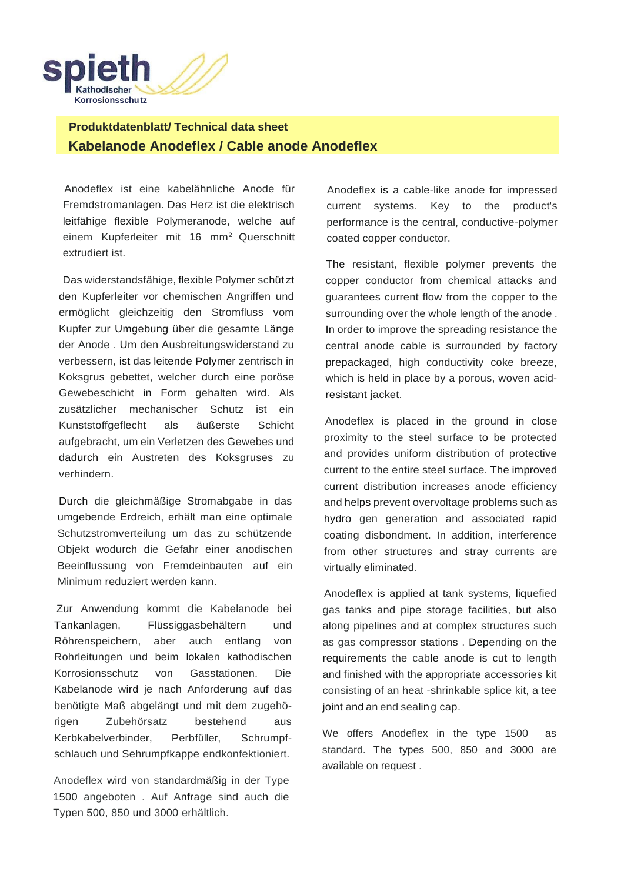

# **Produktdatenblatt/ Technical data sheet Kabelanode Anodeflex / Cable anode Anodeflex**

Anodeflex ist eine kabelähnliche Anode für Fremdstromanlagen. Das Herz ist die elektrisch leitfähige flexible Polymeranode, welche auf einem Kupferleiter mit 16 mm<sup>2</sup> Querschnitt extrudiert ist.

Das widerstandsfähige, flexible Polymer schüt zt den Kupferleiter vor chemischen Angriffen und ermöglicht gleichzeitig den Stromfluss vom Kupfer zur Umgebung über die gesamte Länge der Anode . Um den Ausbreitungswiderstand zu verbessern, ist das leitende Polymer zentrisch in Koksgrus gebettet, welcher durch eine poröse Gewebeschicht in Form gehalten wird. Als zusätzlicher mechanischer Schutz ist ein Kunststoffgeflecht als äußerste Schicht aufgebracht, um ein Verletzen des Gewebes und dadurch ein Austreten des Koksgruses zu verhindern.

Durch die gleichmäßige Stromabgabe in das umgebende Erdreich, erhält man eine optimale Schutzstromverteilung um das zu schützende Objekt wodurch die Gefahr einer anodischen Beeinflussung von Fremdeinbauten auf ein Minimum reduziert werden kann.

Zur Anwendung kommt die Kabelanode bei Tankanlagen, Flüssiggasbehältern und Röhrenspeichern, aber auch entlang von Rohrleitungen und beim lokalen kathodischen Korrosionsschutz von Gasstationen. Die Kabelanode wird je nach Anforderung auf das benötigte Maß abgelängt und mit dem zugehörigen Zubehörsatz bestehend aus Kerbkabelverbinder, Perbfüller, Schrumpfschlauch und Sehrumpfkappe endkonfektioniert.

Anodeflex wird von standardmäßig in der Type 1500 angeboten . Auf Anfrage sind auch die Typen 500, 850 und 3000 erhältlich.

Anodeflex is a cable-like anode for impressed current systems. Key to the product's performance is the central, conductive-polymer coated copper conductor.

The resistant, flexible polymer prevents the copper conductor from chemical attacks and guarantees current flow from the copper to the surrounding over the whole length of the anode . In order to improve the spreading resistance the central anode cable is surrounded by factory prepackaged, high conductivity coke breeze, which is held in place by a porous, woven acidresistant jacket.

Anodeflex is placed in the ground in close proximity to the steel surface to be protected and provides uniform distribution of protective current to the entire steel surface. The improved current distribution increases anode efficiency and helps prevent overvoltage problems such as hydro gen generation and associated rapid coating disbondment. In addition, interference from other structures and stray currents are virtually eliminated.

Anodeflex is applied at tank systems, liquefied gas tanks and pipe storage facilities, but also along pipelines and at complex structures such as gas compressor stations . Depending on the requirements the cable anode is cut to length and finished with the appropriate accessories kit consisting of an heat -shrinkable splice kit, a tee joint and an end sealing cap.

We offers Anodeflex in the type 1500 as standard. The types 500, 850 and 3000 are available on request .